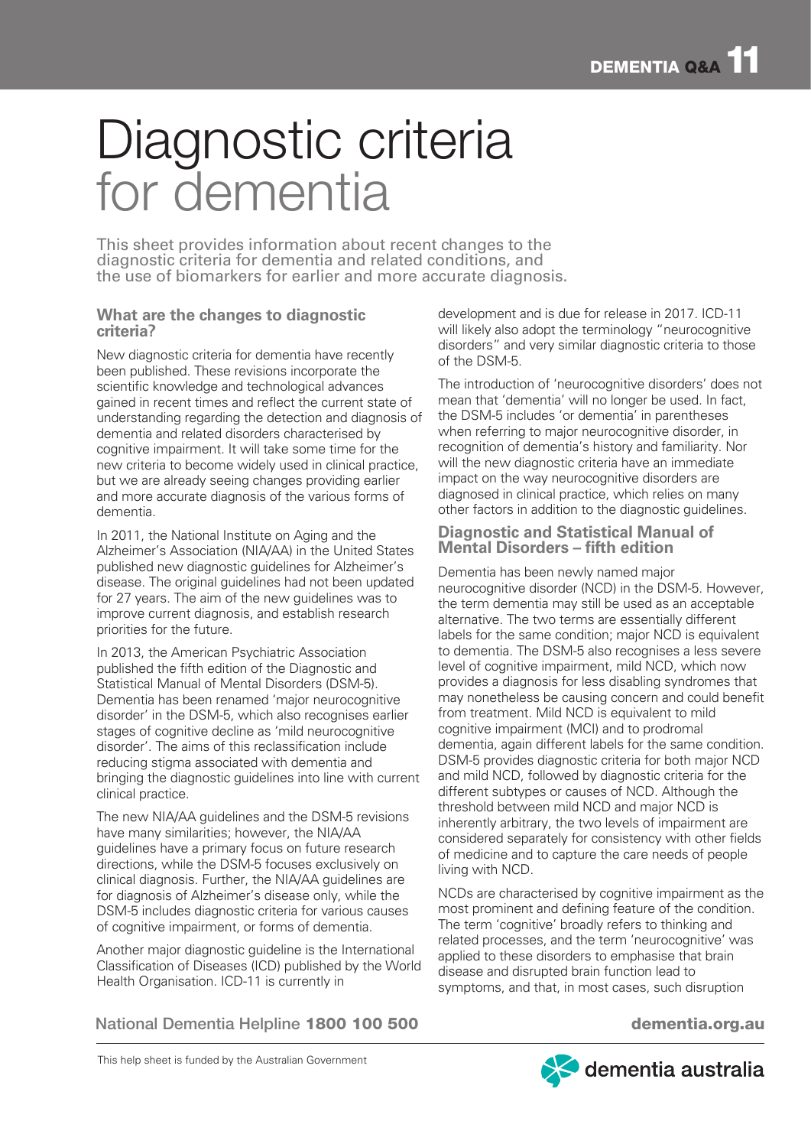# Diagnostic criteria for dementia

This sheet provides information about recent changes to the diagnostic criteria for dementia and related conditions, and the use of biomarkers for earlier and more accurate diagnosis.

# **What are the changes to diagnostic criteria?**

New diagnostic criteria for dementia have recently been published. These revisions incorporate the scientific knowledge and technological advances gained in recent times and reflect the current state of understanding regarding the detection and diagnosis of dementia and related disorders characterised by cognitive impairment. It will take some time for the new criteria to become widely used in clinical practice, but we are already seeing changes providing earlier and more accurate diagnosis of the various forms of dementia.

In 2011, the National Institute on Aging and the Alzheimer's Association (NIA/AA) in the United States published new diagnostic guidelines for Alzheimer's disease. The original guidelines had not been updated for 27 years. The aim of the new guidelines was to improve current diagnosis, and establish research priorities for the future.

In 2013, the American Psychiatric Association published the fifth edition of the Diagnostic and Statistical Manual of Mental Disorders (DSM-5). Dementia has been renamed 'major neurocognitive disorder' in the DSM-5, which also recognises earlier stages of cognitive decline as 'mild neurocognitive disorder'. The aims of this reclassification include reducing stigma associated with dementia and bringing the diagnostic guidelines into line with current clinical practice.

The new NIA/AA guidelines and the DSM-5 revisions have many similarities; however, the NIA/AA guidelines have a primary focus on future research directions, while the DSM-5 focuses exclusively on clinical diagnosis. Further, the NIA/AA guidelines are for diagnosis of Alzheimer's disease only, while the DSM-5 includes diagnostic criteria for various causes of cognitive impairment, or forms of dementia.

Another major diagnostic guideline is the International Classification of Diseases (ICD) published by the World Health Organisation. ICD-11 is currently in

development and is due for release in 2017. ICD-11 will likely also adopt the terminology "neurocognitive disorders" and very similar diagnostic criteria to those of the DSM-5.

The introduction of 'neurocognitive disorders' does not mean that 'dementia' will no longer be used. In fact, the DSM-5 includes 'or dementia' in parentheses when referring to major neurocognitive disorder, in recognition of dementia's history and familiarity. Nor will the new diagnostic criteria have an immediate impact on the way neurocognitive disorders are diagnosed in clinical practice, which relies on many other factors in addition to the diagnostic guidelines.

## **Diagnostic and Statistical Manual of Mental Disorders – fifth edition**

Dementia has been newly named major neurocognitive disorder (NCD) in the DSM-5. However, the term dementia may still be used as an acceptable alternative. The two terms are essentially different labels for the same condition; major NCD is equivalent to dementia. The DSM-5 also recognises a less severe level of cognitive impairment, mild NCD, which now provides a diagnosis for less disabling syndromes that may nonetheless be causing concern and could benefit from treatment. Mild NCD is equivalent to mild cognitive impairment (MCI) and to prodromal dementia, again different labels for the same condition. DSM-5 provides diagnostic criteria for both major NCD and mild NCD, followed by diagnostic criteria for the different subtypes or causes of NCD. Although the threshold between mild NCD and major NCD is inherently arbitrary, the two levels of impairment are considered separately for consistency with other fields of medicine and to capture the care needs of people living with NCD.

NCDs are characterised by cognitive impairment as the most prominent and defining feature of the condition. The term 'cognitive' broadly refers to thinking and related processes, and the term 'neurocognitive' was applied to these disorders to emphasise that brain disease and disrupted brain function lead to symptoms, and that, in most cases, such disruption

National Dementia Helpline 1800 100 500 dementia.org.au

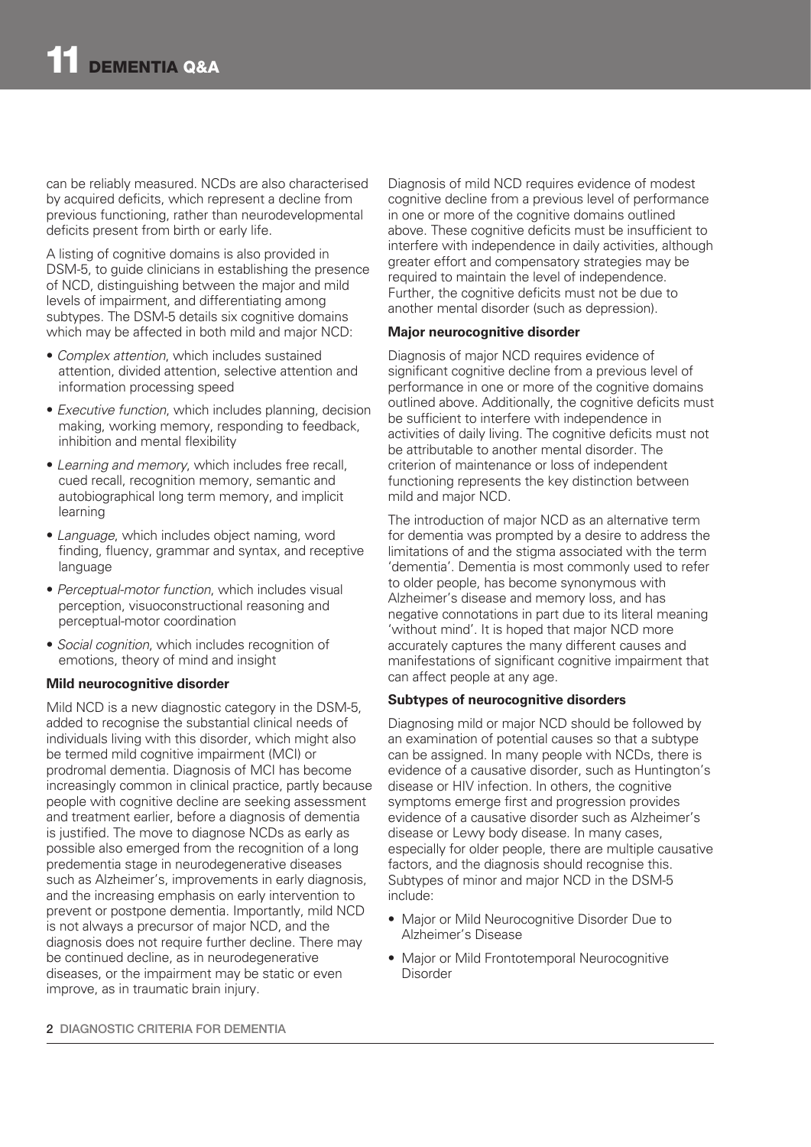can be reliably measured. NCDs are also characterised by acquired deficits, which represent a decline from previous functioning, rather than neurodevelopmental deficits present from birth or early life.

A listing of cognitive domains is also provided in DSM-5, to guide clinicians in establishing the presence of NCD, distinguishing between the major and mild levels of impairment, and differentiating among subtypes. The DSM-5 details six cognitive domains which may be affected in both mild and major NCD:

- *Complex attention*, which includes sustained attention, divided attention, selective attention and information processing speed
- *Executive function*, which includes planning, decision making, working memory, responding to feedback, inhibition and mental flexibility
- *Learning and memory*, which includes free recall, cued recall, recognition memory, semantic and autobiographical long term memory, and implicit learning
- *Language*, which includes object naming, word finding, fluency, grammar and syntax, and receptive language
- *Perceptual-motor function*, which includes visual perception, visuoconstructional reasoning and perceptual-motor coordination
- *Social cognition*, which includes recognition of emotions, theory of mind and insight

### **Mild neurocognitive disorder**

Mild NCD is a new diagnostic category in the DSM-5, added to recognise the substantial clinical needs of individuals living with this disorder, which might also be termed mild cognitive impairment (MCI) or prodromal dementia. Diagnosis of MCI has become increasingly common in clinical practice, partly because people with cognitive decline are seeking assessment and treatment earlier, before a diagnosis of dementia is justified. The move to diagnose NCDs as early as possible also emerged from the recognition of a long predementia stage in neurodegenerative diseases such as Alzheimer's, improvements in early diagnosis, and the increasing emphasis on early intervention to prevent or postpone dementia. Importantly, mild NCD is not always a precursor of major NCD, and the diagnosis does not require further decline. There may be continued decline, as in neurodegenerative diseases, or the impairment may be static or even improve, as in traumatic brain injury.

Diagnosis of mild NCD requires evidence of modest cognitive decline from a previous level of performance in one or more of the cognitive domains outlined above. These cognitive deficits must be insufficient to interfere with independence in daily activities, although greater effort and compensatory strategies may be required to maintain the level of independence. Further, the cognitive deficits must not be due to another mental disorder (such as depression).

### **Major neurocognitive disorder**

Diagnosis of major NCD requires evidence of significant cognitive decline from a previous level of performance in one or more of the cognitive domains outlined above. Additionally, the cognitive deficits must be sufficient to interfere with independence in activities of daily living. The cognitive deficits must not be attributable to another mental disorder. The criterion of maintenance or loss of independent functioning represents the key distinction between mild and major NCD.

The introduction of major NCD as an alternative term for dementia was prompted by a desire to address the limitations of and the stigma associated with the term 'dementia'. Dementia is most commonly used to refer to older people, has become synonymous with Alzheimer's disease and memory loss, and has negative connotations in part due to its literal meaning 'without mind'. It is hoped that major NCD more accurately captures the many different causes and manifestations of significant cognitive impairment that can affect people at any age.

### **Subtypes of neurocognitive disorders**

Diagnosing mild or major NCD should be followed by an examination of potential causes so that a subtype can be assigned. In many people with NCDs, there is evidence of a causative disorder, such as Huntington's disease or HIV infection. In others, the cognitive symptoms emerge first and progression provides evidence of a causative disorder such as Alzheimer's disease or Lewy body disease. In many cases, especially for older people, there are multiple causative factors, and the diagnosis should recognise this. Subtypes of minor and major NCD in the DSM-5 include:

- Major or Mild Neurocognitive Disorder Due to Alzheimer's Disease
- Major or Mild Frontotemporal Neurocognitive Disorder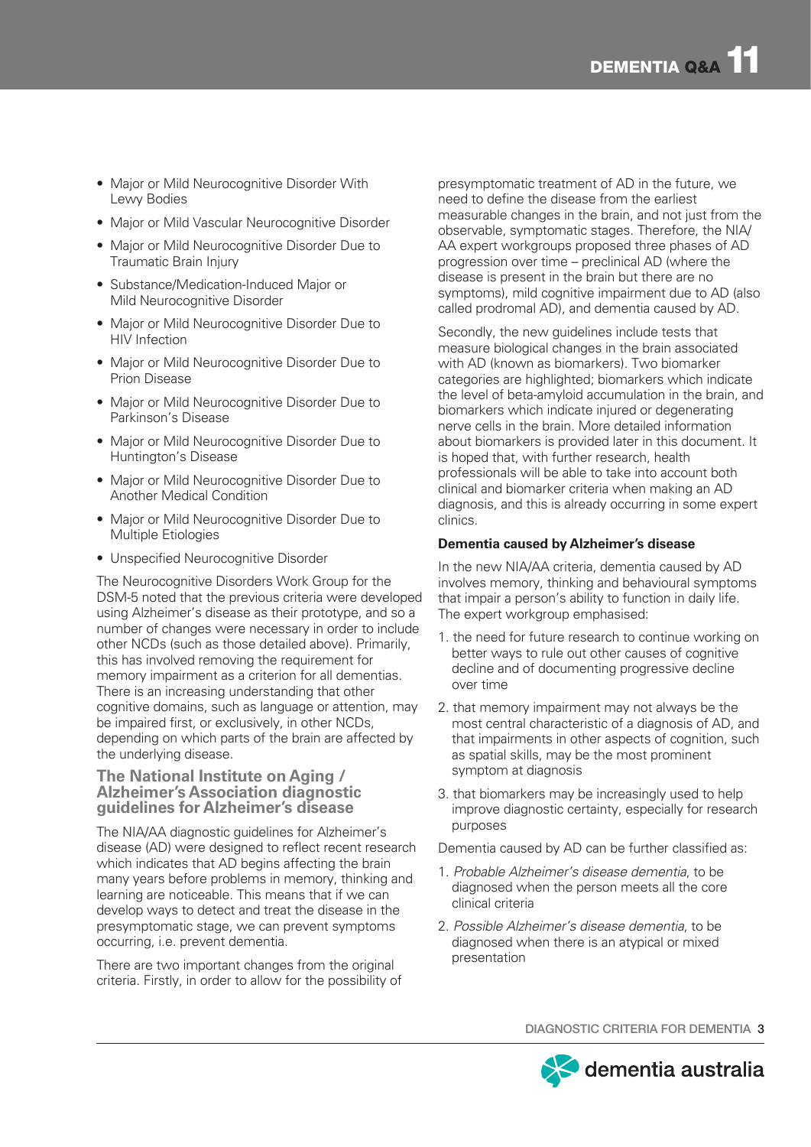- Major or Mild Neurocognitive Disorder With Lewy Bodies
- Major or Mild Vascular Neurocognitive Disorder
- Major or Mild Neurocognitive Disorder Due to Traumatic Brain Injury
- Substance/Medication-Induced Major or Mild Neurocognitive Disorder
- Major or Mild Neurocognitive Disorder Due to HIV Infection
- Major or Mild Neurocognitive Disorder Due to Prion Disease
- Major or Mild Neurocognitive Disorder Due to Parkinson's Disease
- Major or Mild Neurocognitive Disorder Due to Huntington's Disease
- Major or Mild Neurocognitive Disorder Due to Another Medical Condition
- Major or Mild Neurocognitive Disorder Due to Multiple Etiologies
- Unspecified Neurocognitive Disorder

The Neurocognitive Disorders Work Group for the DSM-5 noted that the previous criteria were developed using Alzheimer's disease as their prototype, and so a number of changes were necessary in order to include other NCDs (such as those detailed above). Primarily, this has involved removing the requirement for memory impairment as a criterion for all dementias. There is an increasing understanding that other cognitive domains, such as language or attention, may be impaired first, or exclusively, in other NCDs, depending on which parts of the brain are affected by the underlying disease.

### **The National Institute on Aging / Alzheimer's Association diagnostic guidelines for Alzheimer's disease**

The NIA/AA diagnostic guidelines for Alzheimer's disease (AD) were designed to reflect recent research which indicates that AD begins affecting the brain many years before problems in memory, thinking and learning are noticeable. This means that if we can develop ways to detect and treat the disease in the presymptomatic stage, we can prevent symptoms occurring, i.e. prevent dementia.

There are two important changes from the original criteria. Firstly, in order to allow for the possibility of presymptomatic treatment of AD in the future, we need to define the disease from the earliest measurable changes in the brain, and not just from the observable, symptomatic stages. Therefore, the NIA/ AA expert workgroups proposed three phases of AD progression over time – preclinical AD (where the disease is present in the brain but there are no symptoms), mild cognitive impairment due to AD (also called prodromal AD), and dementia caused by AD.

Secondly, the new guidelines include tests that measure biological changes in the brain associated with AD (known as biomarkers). Two biomarker categories are highlighted; biomarkers which indicate the level of beta-amyloid accumulation in the brain, and biomarkers which indicate injured or degenerating nerve cells in the brain. More detailed information about biomarkers is provided later in this document. It is hoped that, with further research, health professionals will be able to take into account both clinical and biomarker criteria when making an AD diagnosis, and this is already occurring in some expert clinics.

# **Dementia caused by Alzheimer's disease**

In the new NIA/AA criteria, dementia caused by AD involves memory, thinking and behavioural symptoms that impair a person's ability to function in daily life. The expert workgroup emphasised:

- 1. the need for future research to continue working on better ways to rule out other causes of cognitive decline and of documenting progressive decline over time
- 2. that memory impairment may not always be the most central characteristic of a diagnosis of AD, and that impairments in other aspects of cognition, such as spatial skills, may be the most prominent symptom at diagnosis
- 3. that biomarkers may be increasingly used to help improve diagnostic certainty, especially for research purposes

Dementia caused by AD can be further classified as:

- 1. *Probable Alzheimer's disease dementia*, to be diagnosed when the person meets all the core clinical criteria
- 2. *Possible Alzheimer's disease dementia*, to be diagnosed when there is an atypical or mixed presentation

DIAGNOSTIC CRITERIA FOR DEMENTIA 3

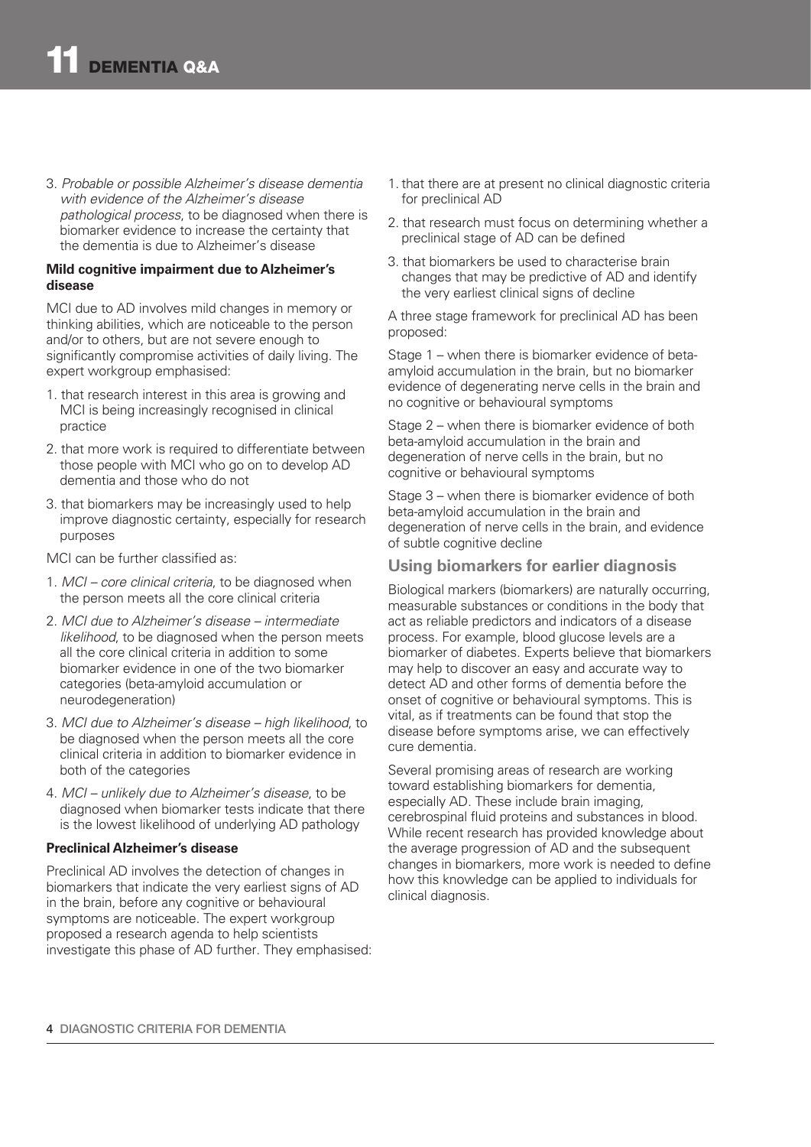3. *Probable or possible Alzheimer's disease dementia with evidence of the Alzheimer's disease pathological process*, to be diagnosed when there is biomarker evidence to increase the certainty that the dementia is due to Alzheimer's disease

#### **Mild cognitive impairment due to Alzheimer's disease**

MCI due to AD involves mild changes in memory or thinking abilities, which are noticeable to the person and/or to others, but are not severe enough to significantly compromise activities of daily living. The expert workgroup emphasised:

- 1. that research interest in this area is growing and MCI is being increasingly recognised in clinical practice
- 2. that more work is required to differentiate between those people with MCI who go on to develop AD dementia and those who do not
- 3. that biomarkers may be increasingly used to help improve diagnostic certainty, especially for research purposes

MCI can be further classified as:

- 1. *MCI core clinical criteria*, to be diagnosed when the person meets all the core clinical criteria
- 2. *MCI due to Alzheimer's disease intermediate likelihood*, to be diagnosed when the person meets all the core clinical criteria in addition to some biomarker evidence in one of the two biomarker categories (beta-amyloid accumulation or neurodegeneration)
- 3. *MCI due to Alzheimer's disease high likelihood*, to be diagnosed when the person meets all the core clinical criteria in addition to biomarker evidence in both of the categories
- 4. *MCI unlikely due to Alzheimer's disease*, to be diagnosed when biomarker tests indicate that there is the lowest likelihood of underlying AD pathology

### **Preclinical Alzheimer's disease**

Preclinical AD involves the detection of changes in biomarkers that indicate the very earliest signs of AD in the brain, before any cognitive or behavioural symptoms are noticeable. The expert workgroup proposed a research agenda to help scientists investigate this phase of AD further. They emphasised:

- 1. that there are at present no clinical diagnostic criteria for preclinical AD
- 2. that research must focus on determining whether a preclinical stage of AD can be defined
- 3. that biomarkers be used to characterise brain changes that may be predictive of AD and identify the very earliest clinical signs of decline

A three stage framework for preclinical AD has been proposed:

Stage 1 – when there is biomarker evidence of betaamyloid accumulation in the brain, but no biomarker evidence of degenerating nerve cells in the brain and no cognitive or behavioural symptoms

Stage 2 – when there is biomarker evidence of both beta-amyloid accumulation in the brain and degeneration of nerve cells in the brain, but no cognitive or behavioural symptoms

Stage 3 – when there is biomarker evidence of both beta-amyloid accumulation in the brain and degeneration of nerve cells in the brain, and evidence of subtle cognitive decline

## **Using biomarkers for earlier diagnosis**

Biological markers (biomarkers) are naturally occurring, measurable substances or conditions in the body that act as reliable predictors and indicators of a disease process. For example, blood glucose levels are a biomarker of diabetes. Experts believe that biomarkers may help to discover an easy and accurate way to detect AD and other forms of dementia before the onset of cognitive or behavioural symptoms. This is vital, as if treatments can be found that stop the disease before symptoms arise, we can effectively cure dementia.

Several promising areas of research are working toward establishing biomarkers for dementia, especially AD. These include brain imaging, cerebrospinal fluid proteins and substances in blood. While recent research has provided knowledge about the average progression of AD and the subsequent changes in biomarkers, more work is needed to define how this knowledge can be applied to individuals for clinical diagnosis.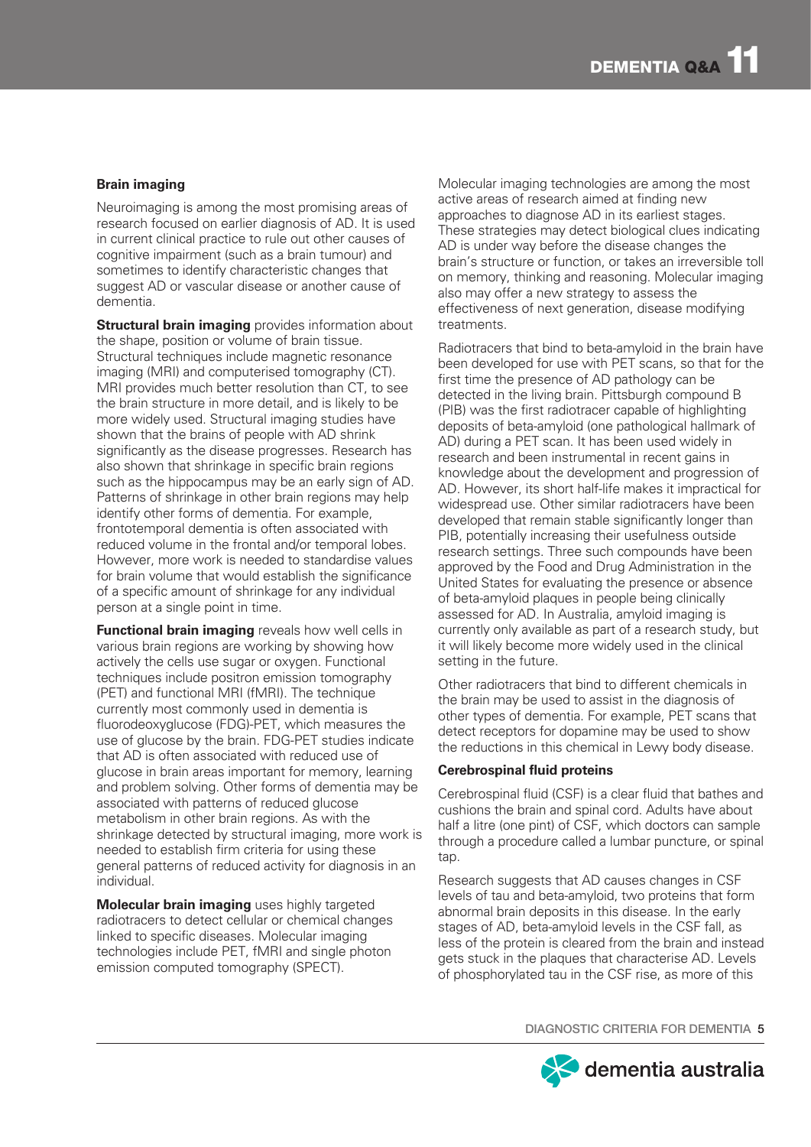## **Brain imaging**

Neuroimaging is among the most promising areas of research focused on earlier diagnosis of AD. It is used in current clinical practice to rule out other causes of cognitive impairment (such as a brain tumour) and sometimes to identify characteristic changes that suggest AD or vascular disease or another cause of dementia.

**Structural brain imaging** provides information about the shape, position or volume of brain tissue. Structural techniques include magnetic resonance imaging (MRI) and computerised tomography (CT). MRI provides much better resolution than CT, to see the brain structure in more detail, and is likely to be more widely used. Structural imaging studies have shown that the brains of people with AD shrink significantly as the disease progresses. Research has also shown that shrinkage in specific brain regions such as the hippocampus may be an early sign of AD. Patterns of shrinkage in other brain regions may help identify other forms of dementia. For example, frontotemporal dementia is often associated with reduced volume in the frontal and/or temporal lobes. However, more work is needed to standardise values for brain volume that would establish the significance of a specific amount of shrinkage for any individual person at a single point in time.

**Functional brain imaging** reveals how well cells in various brain regions are working by showing how actively the cells use sugar or oxygen. Functional techniques include positron emission tomography (PET) and functional MRI (fMRI). The technique currently most commonly used in dementia is fluorodeoxyglucose (FDG)-PET, which measures the use of glucose by the brain. FDG-PET studies indicate that AD is often associated with reduced use of glucose in brain areas important for memory, learning and problem solving. Other forms of dementia may be associated with patterns of reduced glucose metabolism in other brain regions. As with the shrinkage detected by structural imaging, more work is needed to establish firm criteria for using these general patterns of reduced activity for diagnosis in an individual.

**Molecular brain imaging** uses highly targeted radiotracers to detect cellular or chemical changes linked to specific diseases. Molecular imaging technologies include PET, fMRI and single photon emission computed tomography (SPECT).

Molecular imaging technologies are among the most active areas of research aimed at finding new approaches to diagnose AD in its earliest stages. These strategies may detect biological clues indicating AD is under way before the disease changes the brain's structure or function, or takes an irreversible toll on memory, thinking and reasoning. Molecular imaging also may offer a new strategy to assess the effectiveness of next generation, disease modifying treatments.

Radiotracers that bind to beta-amyloid in the brain have been developed for use with PET scans, so that for the first time the presence of AD pathology can be detected in the living brain. Pittsburgh compound B (PIB) was the first radiotracer capable of highlighting deposits of beta-amyloid (one pathological hallmark of AD) during a PET scan. It has been used widely in research and been instrumental in recent gains in knowledge about the development and progression of AD. However, its short half-life makes it impractical for widespread use. Other similar radiotracers have been developed that remain stable significantly longer than PIB, potentially increasing their usefulness outside research settings. Three such compounds have been approved by the Food and Drug Administration in the United States for evaluating the presence or absence of beta-amyloid plaques in people being clinically assessed for AD. In Australia, amyloid imaging is currently only available as part of a research study, but it will likely become more widely used in the clinical setting in the future.

Other radiotracers that bind to different chemicals in the brain may be used to assist in the diagnosis of other types of dementia. For example, PET scans that detect receptors for dopamine may be used to show the reductions in this chemical in Lewy body disease.

#### **Cerebrospinal fluid proteins**

Cerebrospinal fluid (CSF) is a clear fluid that bathes and cushions the brain and spinal cord. Adults have about half a litre (one pint) of CSF, which doctors can sample through a procedure called a lumbar puncture, or spinal tap.

Research suggests that AD causes changes in CSF levels of tau and beta-amyloid, two proteins that form abnormal brain deposits in this disease. In the early stages of AD, beta-amyloid levels in the CSF fall, as less of the protein is cleared from the brain and instead gets stuck in the plaques that characterise AD. Levels of phosphorylated tau in the CSF rise, as more of this

DIAGNOSTIC CRITERIA FOR DEMENTIA 5